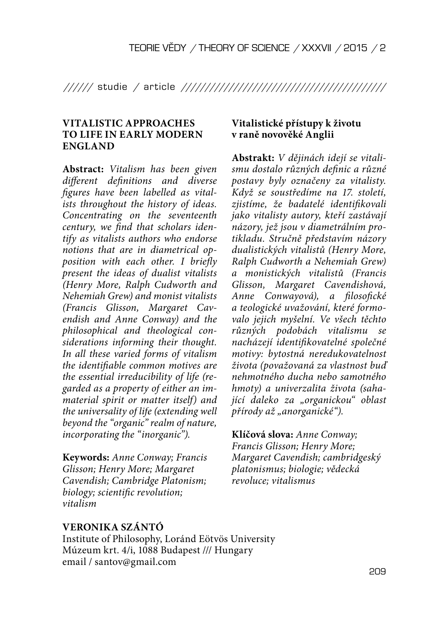////// studie / article ///////////////////////////////////////////

## **VITALISTIC APPROACHES TO LIFE IN EARLY MODERN ENGLAND**

**Abstract:** Vitalism has been given different definitions and diverse figures have been labelled as vitalists throughout the history of ideas. Concentrating on the seventeenth century, we find that scholars identify as vitalists authors who endorse notions that are in diametrical opposition with each other. I briefly present the ideas of dualist vitalists (Henry More, Ralph Cudworth and Nehemiah Grew) and monist vitalists (Francis Glisson, Margaret Cavendish and Anne Conway) and the philosophical and theological considerations informing their thought. In all these varied forms of vitalism the identifiable common motives are the essential irreducibility of life (regarded as a property of either an immaterial spirit or matter itself) and the universality of life (extending well beyond the "organic" realm of nature, incorporating the "inorganic").

**Keywords:** Anne Conway; Francis Glisson; Henry More; Margaret Cavendish; Cambridge Platonism; biology; scientific revolution; vitalism

# **Vitalistické přístupy k životu v raně novověké Anglii**

**Abstrakt:** V dějinách idejí se vitalismu dostalo různých definic a různé postavy byly označeny za vitalisty. Když se soustředíme na 17. století, zjistíme, že badatelé identifikovali jako vitalisty autory, kteří zastávají názory, jež jsou v diametrálním protikladu. Stručně představím názory dualistických vitalistů (Henry More, Ralph Cudworth a Nehemiah Grew) a monistických vitalistů (Francis Glisson, Margaret Cavendishová, Anne Conwayová), a filosofické a teologické uvažování, které formovalo jejich myšelní. Ve všech těchto různých podobách vitalismu se nacházejí identifikovatelné společné motivy: bytostná neredukovatelnost života (považovaná za vlastnost buď nehmotného ducha nebo samotného hmoty) a univerzalita života (sahající daleko za "organickou" oblast přírody až "anorganické").

### **Klíčová slova:** Anne Conway;

Francis Glisson; Henry More; Margaret Cavendish; cambridgeský platonismus; biologie; vědecká revoluce; vitalismus

### **VERONIKA SZÁNTÓ**

Institute of Philosophy, Loránd Eötvös University Múzeum krt. 4/i, 1088 Budapest /// Hungary email / santov@gmail.com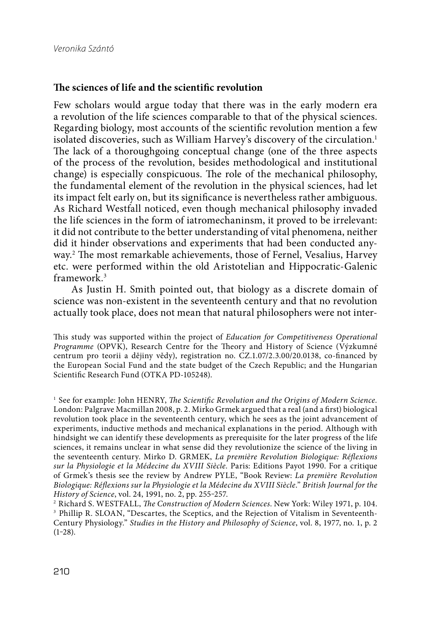#### The sciences of life and the scientific revolution

Few scholars would argue today that there was in the early modern era a revolution of the life sciences comparable to that of the physical sciences. Regarding biology, most accounts of the scientific revolution mention a few isolated discoveries, such as William Harvey's discovery of the circulation.<sup>1</sup> The lack of a thoroughgoing conceptual change (one of the three aspects of the process of the revolution, besides methodological and institutional change) is especially conspicuous. The role of the mechanical philosophy, the fundamental element of the revolution in the physical sciences, had let its impact felt early on, but its significance is nevertheless rather ambiguous. As Richard Westfall noticed, even though mechanical philosophy invaded the life sciences in the form of iatromechaninsm, it proved to be irrelevant: it did not contribute to the better understanding of vital phenomena, neither did it hinder observations and experiments that had been conducted anyway.<sup>2</sup> The most remarkable achievements, those of Fernel, Vesalius, Harvey etc. were performed within the old Aristotelian and Hippocratic-Galenic framework. 3

As Justin H. Smith pointed out, that biology as a discrete domain of science was non-existent in the seventeenth century and that no revolution actually took place, does not mean that natural philosophers were not inter-

This study was supported within the project of Education for Competitiveness Operational Programme (OPVK), Research Centre for the Theory and History of Science (Výzkumné centrum pro teorii a dějiny vědy), registration no. CZ.1.07/2.3.00/20.0138, co-financed by the European Social Fund and the state budget of the Czech Republic; and the Hungarian Scientific Research Fund (OTKA PD-105248).

 $1$  See for example: John HENRY, The Scientific Revolution and the Origins of Modern Science. London: Palgrave Macmillan 2008, p. 2. Mirko Grmek argued that a real (and a first) biological revolution took place in the seventeenth century, which he sees as the joint advancement of experiments, inductive methods and mechanical explanations in the period. Although with hindsight we can identify these developments as prerequisite for the later progress of the life sciences, it remains unclear in what sense did they revolutionize the science of the living in the seventeenth century. Mirko D. GRMEK, La première Revolution Biologique: Réflexions sur la Physiologie et la Médecine du XVIII Siècle. Paris: Editions Payot 1990. For a critique of Grmek's thesis see the review by Andrew PYLE, "Book Review: La première Revolution Biologique: Réflexions sur la Physiologie et la Médecine du XVIII Siècle." British Journal for the History of Science, vol. 24, 1991, no. 2, pp. 255-257.

<sup>2</sup> Richard S. WESTFALL, *The Construction of Modern Sciences*. New York: Wiley 1971, p. 104. <sup>3</sup> Phillip R. SLOAN, "Descartes, the Sceptics, and the Rejection of Vitalism in Seventeenth-Century Physiology." Studies in the History and Philosophy of Science, vol. 8, 1977, no. 1, p. 2  $(1-28)$ .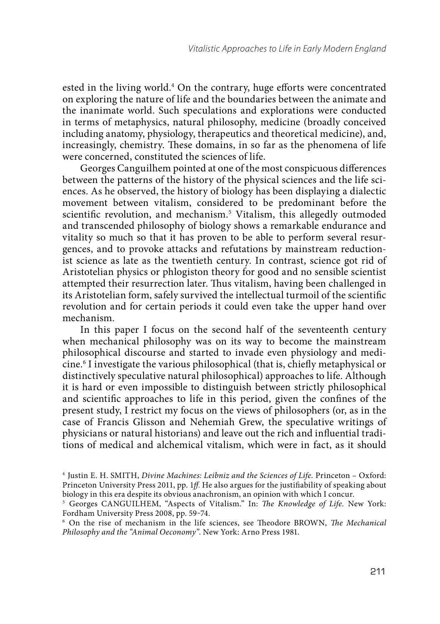ested in the living world.<sup>4</sup> On the contrary, huge efforts were concentrated on exploring the nature of life and the boundaries between the animate and the inanimate world. Such speculations and explorations were conducted in terms of metaphysics, natural philosophy, medicine (broadly conceived including anatomy, physiology, therapeutics and theoretical medicine), and, increasingly, chemistry. These domains, in so far as the phenomena of life were concerned, constituted the sciences of life.

Georges Canguilhem pointed at one of the most conspicuous differences between the patterns of the history of the physical sciences and the life sciences. As he observed, the history of biology has been displaying a dialectic movement between vitalism, considered to be predominant before the scientific revolution, and mechanism.<sup>5</sup> Vitalism, this allegedly outmoded and transcended philosophy of biology shows a remarkable endurance and vitality so much so that it has proven to be able to perform several resurgences, and to provoke attacks and refutations by mainstream reductionist science as late as the twentieth century. In contrast, science got rid of Aristotelian physics or phlogiston theory for good and no sensible scientist attempted their resurrection later. Thus vitalism, having been challenged in its Aristotelian form, safely survived the intellectual turmoil of the scientific revolution and for certain periods it could even take the upper hand over mechanism.

In this paper I focus on the second half of the seventeenth century when mechanical philosophy was on its way to become the mainstream philosophical discourse and started to invade even physiology and medicine. 6 I investigate the various philosophical (that is, chiefly metaphysical or distinctively speculative natural philosophical) approaches to life. Although it is hard or even impossible to distinguish between strictly philosophical and scientific approaches to life in this period, given the confines of the present study, I restrict my focus on the views of philosophers (or, as in the case of Francis Glisson and Nehemiah Grew, the speculative writings of physicians or natural historians) and leave out the rich and influential traditions of medical and alchemical vitalism, which were in fact, as it should

<sup>4</sup> Justin E. H. SMITH, Divine Machines: Leibniz and the Sciences of Life. Princeton – Oxford: Princeton University Press 2011, pp. 1ff. He also argues for the justifiability of speaking about biology in this era despite its obvious anachronism, an opinion with which I concur.

<sup>&</sup>lt;sup>5</sup> Georges CANGUILHEM, "Aspects of Vitalism." In: The Knowledge of Life. New York: Fordham University Press 2008, pp. 59-74.

 $6$  On the rise of mechanism in the life sciences, see Theodore BROWN, The Mechanical Philosophy and the "Animal Oeconomy". New York: Arno Press 1981.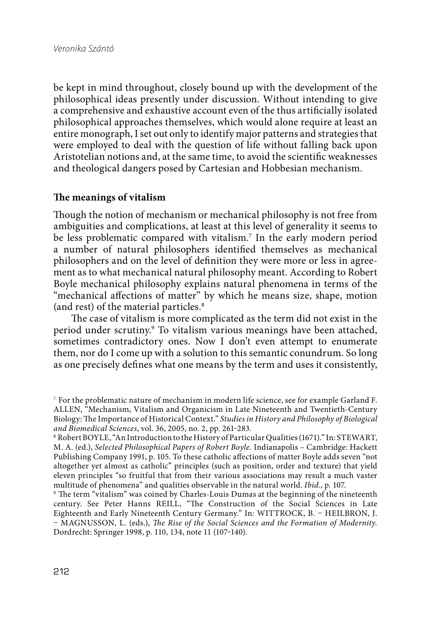be kept in mind throughout, closely bound up with the development of the philosophical ideas presently under discussion. Without intending to give a comprehensive and exhaustive account even of the thus artificially isolated philosophical approaches themselves, which would alone require at least an entire monograph, I set out only to identify major patterns and strategies that were employed to deal with the question of life without falling back upon Aristotelian notions and, at the same time, to avoid the scientific weaknesses and theological dangers posed by Cartesian and Hobbesian mechanism.

## The meanings of vitalism

Though the notion of mechanism or mechanical philosophy is not free from ambiguities and complications, at least at this level of generality it seems to be less problematic compared with vitalism.7 In the early modern period a number of natural philosophers identified themselves as mechanical philosophers and on the level of definition they were more or less in agreement as to what mechanical natural philosophy meant. According to Robert Boyle mechanical philosophy explains natural phenomena in terms of the "mechanical affections of matter" by which he means size, shape, motion (and rest) of the material particles. 8

The case of vitalism is more complicated as the term did not exist in the period under scrutiny.<sup>9</sup> To vitalism various meanings have been attached, sometimes contradictory ones. Now I don't even attempt to enumerate them, nor do I come up with a solution to this semantic conundrum. So long as one precisely defines what one means by the term and uses it consistently,

<sup>7</sup> For the problematic nature of mechanism in modern life science, see for example Garland F. ALLEN, "Mechanism, Vitalism and Organicism in Late Nineteenth and Twentieth-Century Biology: The Importance of Historical Context." Studies in History and Philosophy of Biological and Biomedical Sciences, vol. 36, 2005, no. 2, pp. 261-283.

<sup>8</sup> Robert BOYLE, "An Introduction to the History of Particular Qualities (1671)." In: STEWART, M. A. (ed.), Selected Philosophical Papers of Robert Boyle. Indianapolis – Cambridge: Hackett Publishing Company 1991, p. 105. To these catholic affections of matter Boyle adds seven "not altogether yet almost as catholic" principles (such as position, order and texture) that yield eleven principles "so fruitful that from their various associations may result a much vaster multitude of phenomena" and qualities observable in the natural world. Ibid., p. 107.

<sup>&</sup>lt;sup>9</sup> The term "vitalism" was coined by Charles-Louis Dumas at the beginning of the nineteenth century. See Peter Hanns REILL, "The Construction of the Social Sciences in Late Eighteenth and Early Nineteenth Century Germany." In: WITTROCK, B. – HEILBRON, J. – MAGNUSSON, L. (eds.), The Rise of the Social Sciences and the Formation of Modernity. Dordrecht: Springer 1998, p. 110, 134, note 11 (107-140).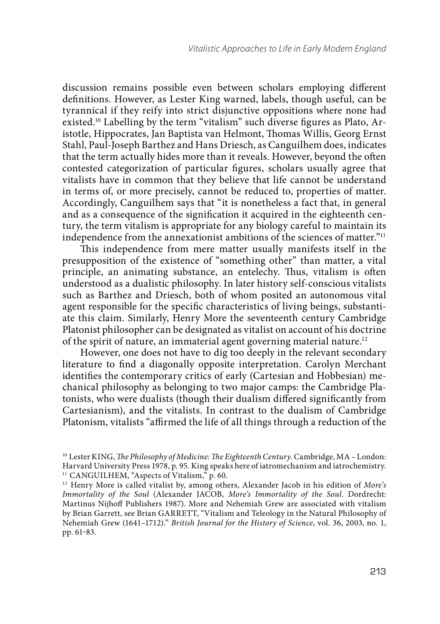discussion remains possible even between scholars employing different definitions. However, as Lester King warned, labels, though useful, can be tyrannical if they reify into strict disjunctive oppositions where none had existed.<sup>10</sup> Labelling by the term "vitalism" such diverse figures as Plato, Aristotle, Hippocrates, Jan Baptista van Helmont, Thomas Willis, Georg Ernst Stahl, Paul-Joseph Barthez and Hans Driesch, as Canguilhem does, indicates that the term actually hides more than it reveals. However, beyond the often contested categorization of particular figures, scholars usually agree that vitalists have in common that they believe that life cannot be understand in terms of, or more precisely, cannot be reduced to, properties of matter. Accordingly, Canguilhem says that "it is nonetheless a fact that, in general and as a consequence of the signification it acquired in the eighteenth century, the term vitalism is appropriate for any biology careful to maintain its independence from the annexationist ambitions of the sciences of matter."11

This independence from mere matter usually manifests itself in the presupposition of the existence of "something other" than matter, a vital principle, an animating substance, an entelechy. Thus, vitalism is often understood as a dualistic philosophy. In later history self-conscious vitalists such as Barthez and Driesch, both of whom posited an autonomous vital agent responsible for the specific characteristics of living beings, substantiate this claim. Similarly, Henry More the seventeenth century Cambridge Platonist philosopher can be designated as vitalist on account of his doctrine of the spirit of nature, an immaterial agent governing material nature.<sup>12</sup>

However, one does not have to dig too deeply in the relevant secondary literature to find a diagonally opposite interpretation. Carolyn Merchant identifies the contemporary critics of early (Cartesian and Hobbesian) mechanical philosophy as belonging to two major camps: the Cambridge Platonists, who were dualists (though their dualism differed significantly from Cartesianism), and the vitalists. In contrast to the dualism of Cambridge Platonism, vitalists "affirmed the life of all things through a reduction of the

 $10$  Lester KING, The Philosophy of Medicine: The Eighteenth Century. Cambridge, MA - London: Harvard University Press 1978, p. 95. King speaks here of iatromechanism and iatrochemistry. <sup>11</sup> CANGUILHEM, "Aspects of Vitalism," p. 60.

 $12$  Henry More is called vitalist by, among others, Alexander Jacob in his edition of More's Immortality of the Soul (Alexander JACOB, More's Immortality of the Soul. Dordrecht: Martinus Nijhoff Publishers 1987). More and Nehemiah Grew are associated with vitalism by Brian Garrett, see Brian GARRETT, "Vitalism and Teleology in the Natural Philosophy of Nehemiah Grew (1641–1712)." British Journal for the History of Science, vol. 36, 2003, no. 1, pp. 61-83.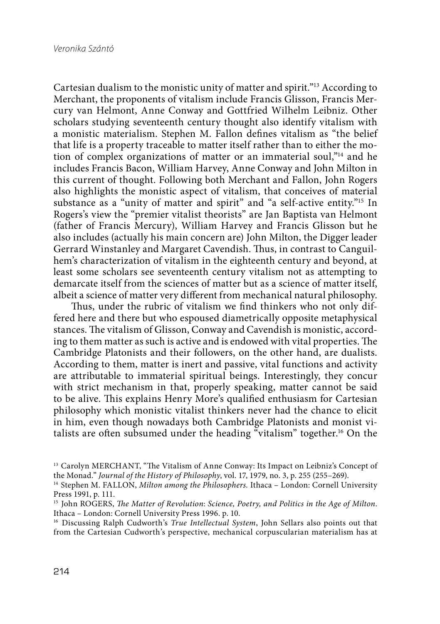Cartesian dualism to the monistic unity of matter and spirit."13 According to Merchant, the proponents of vitalism include Francis Glisson, Francis Mercury van Helmont, Anne Conway and Gottfried Wilhelm Leibniz. Other scholars studying seventeenth century thought also identify vitalism with a monistic materialism. Stephen M. Fallon defines vitalism as "the belief that life is a property traceable to matter itself rather than to either the motion of complex organizations of matter or an immaterial soul,"14 and he includes Francis Bacon, William Harvey, Anne Conway and John Milton in this current of thought. Following both Merchant and Fallon, John Rogers also highlights the monistic aspect of vitalism, that conceives of material substance as a "unity of matter and spirit" and "a self-active entity."<sup>15</sup> In Rogers's view the "premier vitalist theorists" are Jan Baptista van Helmont (father of Francis Mercury), William Harvey and Francis Glisson but he also includes (actually his main concern are) John Milton, the Digger leader Gerrard Winstanley and Margaret Cavendish. Thus, in contrast to Canguilhem's characterization of vitalism in the eighteenth century and beyond, at least some scholars see seventeenth century vitalism not as attempting to demarcate itself from the sciences of matter but as a science of matter itself, albeit a science of matter very different from mechanical natural philosophy.

Thus, under the rubric of vitalism we find thinkers who not only differed here and there but who espoused diametrically opposite metaphysical stances. The vitalism of Glisson, Conway and Cavendish is monistic, according to them matter as such is active and is endowed with vital properties. The Cambridge Platonists and their followers, on the other hand, are dualists. According to them, matter is inert and passive, vital functions and activity are attributable to immaterial spiritual beings. Interestingly, they concur with strict mechanism in that, properly speaking, matter cannot be said to be alive. This explains Henry More's qualified enthusiasm for Cartesian philosophy which monistic vitalist thinkers never had the chance to elicit in him, even though nowadays both Cambridge Platonists and monist vitalists are often subsumed under the heading "vitalism" together.<sup>16</sup> On the

<sup>&</sup>lt;sup>13</sup> Carolyn MERCHANT, "The Vitalism of Anne Conway: Its Impact on Leibniz's Concept of the Monad." Journal of the History of Philosophy, vol. 17, 1979, no. 3, p. 255 (255–269).

<sup>&</sup>lt;sup>14</sup> Stephen M. FALLON, Milton among the Philosophers. Ithaca - London: Cornell University Press 1991, p. 111.

<sup>&</sup>lt;sup>15</sup> John ROGERS, *The Matter of Revolution: Science, Poetry, and Politics in the Age of Milton.* Ithaca – London: Cornell University Press 1996. p. 10.

<sup>&</sup>lt;sup>16</sup> Discussing Ralph Cudworth's True Intellectual System, John Sellars also points out that from the Cartesian Cudworth's perspective, mechanical corpuscularian materialism has at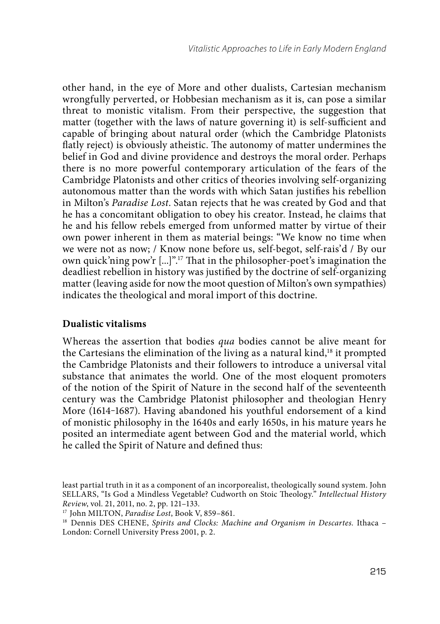other hand, in the eye of More and other dualists, Cartesian mechanism wrongfully perverted, or Hobbesian mechanism as it is, can pose a similar threat to monistic vitalism. From their perspective, the suggestion that matter (together with the laws of nature governing it) is self-sufficient and capable of bringing about natural order (which the Cambridge Platonists flatly reject) is obviously atheistic. The autonomy of matter undermines the belief in God and divine providence and destroys the moral order. Perhaps there is no more powerful contemporary articulation of the fears of the Cambridge Platonists and other critics of theories involving self-organizing autonomous matter than the words with which Satan justifies his rebellion in Milton's Paradise Lost. Satan rejects that he was created by God and that he has a concomitant obligation to obey his creator. Instead, he claims that he and his fellow rebels emerged from unformed matter by virtue of their own power inherent in them as material beings: "We know no time when we were not as now; / Know none before us, self-begot, self-rais'd / By our own quick'ning pow'r [...]".<sup>17</sup> That in the philosopher-poet's imagination the deadliest rebellion in history was justified by the doctrine of self-organizing matter (leaving aside for now the moot question of Milton's own sympathies) indicates the theological and moral import of this doctrine.

### **Dualistic vitalisms**

Whereas the assertion that bodies qua bodies cannot be alive meant for the Cartesians the elimination of the living as a natural kind,<sup>18</sup> it prompted the Cambridge Platonists and their followers to introduce a universal vital substance that animates the world. One of the most eloquent promoters of the notion of the Spirit of Nature in the second half of the seventeenth century was the Cambridge Platonist philosopher and theologian Henry More (1614-1687). Having abandoned his youthful endorsement of a kind of monistic philosophy in the 1640s and early 1650s, in his mature years he posited an intermediate agent between God and the material world, which he called the Spirit of Nature and defined thus:

least partial truth in it as a component of an incorporealist, theologically sound system. John SELLARS, "Is God a Mindless Vegetable? Cudworth on Stoic Theology." Intellectual History Review, vol. 21, 2011, no. 2, pp. 121–133.

<sup>17</sup> John MILTON, Paradise Lost, Book V, 859–861.

<sup>&</sup>lt;sup>18</sup> Dennis DES CHENE, Spirits and Clocks: Machine and Organism in Descartes. Ithaca – London: Cornell University Press 2001, p. 2.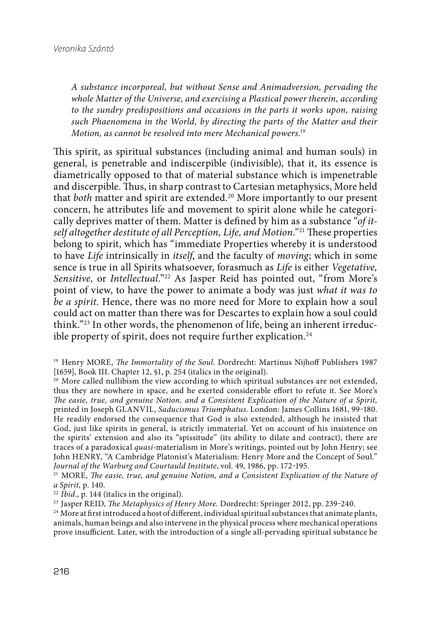A substance incorporeal, but without Sense and Animadversion, pervading the whole Matter of the Universe, and exercising a Plastical power therein, according to the sundry predispositions and occasions in the parts it works upon, raising such Phaenomena in the World, by directing the parts of the Matter and their Motion, as cannot be resolved into mere Mechanical powers. 19

This spirit, as spiritual substances (including animal and human souls) in general, is penetrable and indiscerpible (indivisible), that it, its essence is diametrically opposed to that of material substance which is impenetrable and discerpible. Thus, in sharp contrast to Cartesian metaphysics, More held that *both* matter and spirit are extended.<sup>20</sup> More importantly to our present concern, he attributes life and movement to spirit alone while he categorically deprives matter of them. Matter is defined by him as a substance " $\sigma f$  itself altogether destitute of all Perception, Life, and Motion."<sup>21</sup> These properties belong to spirit, which has "immediate Properties whereby it is understood to have Life intrinsically in *itself*, and the faculty of *moving*; which in some sence is true in all Spirits whatsoever, forasmuch as Life is either Vegetative, Sensitive, or Intellectual."<sup>22</sup> As Jasper Reid has pointed out, "from More's point of view, to have the power to animate a body was just what it was to be a spirit. Hence, there was no more need for More to explain how a soul could act on matter than there was for Descartes to explain how a soul could think."23 In other words, the phenomenon of life, being an inherent irreducible property of spirit, does not require further explication.<sup>24</sup>

<sup>21</sup> MORE, The easie, true, and genuine Notion, and a Consistent Explication of the Nature of a Spirit, p. 140.

 $22$  Ibid., p. 144 (italics in the original).

<sup>23</sup> Jasper REID, *The Metaphysics of Henry More*. Dordrecht: Springer 2012, pp. 239-240.

<sup>24</sup> More at first introduced a host of different, individual spiritual substances that animate plants, animals, human beings and also intervene in the physical process where mechanical operations prove insufficient. Later, with the introduction of a single all-pervading spiritual substance he

<sup>&</sup>lt;sup>19</sup> Henry MORE, *The Immortality of the Soul.* Dordrecht: Martinus Nijhoff Publishers 1987 [1659], Book III. Chapter 12,  $\delta$ 1, p. 254 (italics in the original).

<sup>&</sup>lt;sup>20</sup> More called nullibism the view according to which spiritual substances are not extended, thus they are nowhere in space, and he exerted considerable effort to refute it. See More's The easie, true, and genuine Notion, and a Consistent Explication of the Nature of a Spirit, printed in Joseph GLANVIL, Saducismus Triumphatus. London: James Collins 1681, 99-180. He readily endorsed the consequence that God is also extended, although he insisted that God, just like spirits in general, is strictly immaterial. Yet on account of his insistence on the spirits' extension and also its "spissitude" (its ability to dilate and contract), there are traces of a paradoxical quasi-materialism in More's writings, pointed out by John Henry; see John HENRY, "A Cambridge Platonist's Materialism: Henry More and the Concept of Soul." Journal of the Warburg and Courtauld Institute, vol. 49, 1986, pp. 172-195.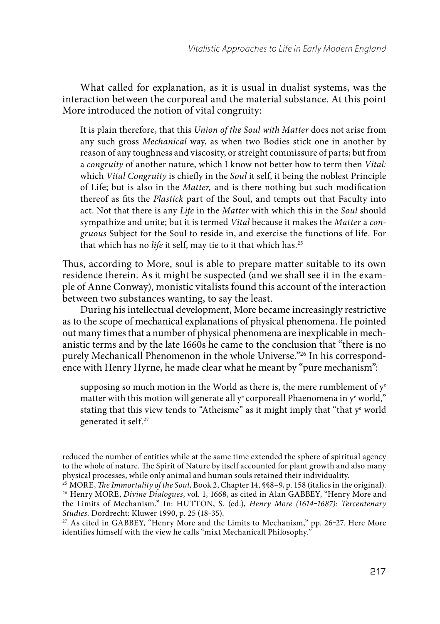What called for explanation, as it is usual in dualist systems, was the interaction between the corporeal and the material substance. At this point More introduced the notion of vital congruity:

It is plain therefore, that this Union of the Soul with Matter does not arise from any such gross Mechanical way, as when two Bodies stick one in another by reason of any toughness and viscosity, or streight commissure of parts; but from a congruity of another nature, which I know not better how to term then Vital: which *Vital Congruity* is chiefly in the *Soul* it self, it being the noblest Principle of Life; but is also in the *Matter*, and is there nothing but such modification thereof as fits the Plastick part of the Soul, and tempts out that Faculty into act. Not that there is any Life in the Matter with which this in the Soul should sympathize and unite; but it is termed Vital because it makes the Matter a congruous Subject for the Soul to reside in, and exercise the functions of life. For that which has no life it self, may tie to it that which has.<sup>25</sup>

Thus, according to More, soul is able to prepare matter suitable to its own residence therein. As it might be suspected (and we shall see it in the example of Anne Conway), monistic vitalists found this account of the interaction between two substances wanting, to say the least.

During his intellectual development, More became increasingly restrictive as to the scope of mechanical explanations of physical phenomena. He pointed out many times that a number of physical phenomena are inexplicable in mechanistic terms and by the late 1660s he came to the conclusion that "there is no purely Mechanicall Phenomenon in the whole Universe."26 In his correspondence with Henry Hyrne, he made clear what he meant by "pure mechanism":

supposing so much motion in the World as there is, the mere rumblement of  $y^e$ matter with this motion will generate all  $\mathrm{y}^\mathrm{e}$  corporeall Phaenomena in  $\mathrm{y}^\mathrm{e}$  world," stating that this view tends to "Atheisme" as it might imply that "that ye world generated it self. 27

reduced the number of entities while at the same time extended the sphere of spiritual agency to the whole of nature. The Spirit of Nature by itself accounted for plant growth and also many physical processes, while only animal and human souls retained their individuality.

 $27$  As cited in GABBEY, "Henry More and the Limits to Mechanism," pp. 26-27. Here More identifies himself with the view he calls "mixt Mechanicall Philosophy."

 $25$  MORE, The Immortality of the Soul, Book 2, Chapter 14,  $\S$ 8–9, p. 158 (italics in the original). <sup>26</sup> Henry MORE, *Divine Dialogues*, vol. 1, 1668, as cited in Alan GABBEY, "Henry More and the Limits of Mechanism." In: HUTTON, S. (ed.), Henry More (1614-1687): Tercentenary Studies. Dordrecht: Kluwer 1990, p. 25 (18-35).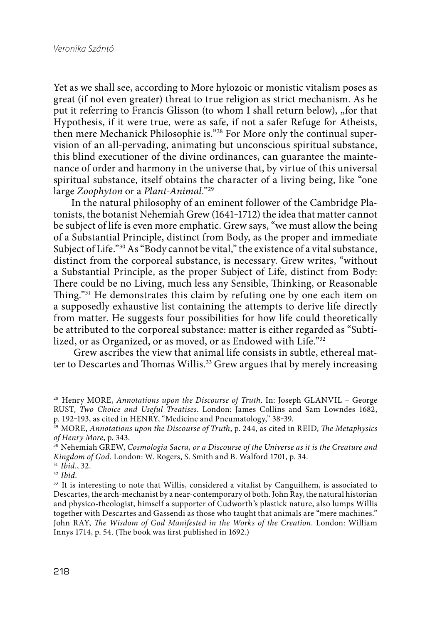Yet as we shall see, according to More hylozoic or monistic vitalism poses as great (if not even greater) threat to true religion as strict mechanism. As he put it referring to Francis Glisson (to whom I shall return below), "for that Hypothesis, if it were true, were as safe, if not a safer Refuge for Atheists, then mere Mechanick Philosophie is."28 For More only the continual supervision of an all-pervading, animating but unconscious spiritual substance, this blind executioner of the divine ordinances, can guarantee the maintenance of order and harmony in the universe that, by virtue of this universal spiritual substance, itself obtains the character of a living being, like "one large Zoophyton or a Plant-Animal."29

In the natural philosophy of an eminent follower of the Cambridge Platonists, the botanist Nehemiah Grew (1641-1712) the idea that matter cannot be subject of life is even more emphatic. Grew says, "we must allow the being of a Substantial Principle, distinct from Body, as the proper and immediate Subject of Life."<sup>30</sup> As "Body cannot be vital," the existence of a vital substance, distinct from the corporeal substance, is necessary. Grew writes, "without a Substantial Principle, as the proper Subject of Life, distinct from Body: There could be no Living, much less any Sensible, Thinking, or Reasonable Thing."<sup>31</sup> He demonstrates this claim by refuting one by one each item on a supposedly exhaustive list containing the attempts to derive life directly from matter. He suggests four possibilities for how life could theoretically be attributed to the corporeal substance: matter is either regarded as "Subtilized, or as Organized, or as moved, or as Endowed with Life."<sup>32</sup>

 Grew ascribes the view that animal life consists in subtle, ethereal matter to Descartes and Thomas Willis.<sup>33</sup> Grew argues that by merely increasing

<sup>&</sup>lt;sup>28</sup> Henry MORE, Annotations upon the Discourse of Truth. In: Joseph GLANVIL - George RUST, Two Choice and Useful Treatises. London: James Collins and Sam Lowndes 1682, p. 192-193, as cited in HENRY, "Medicine and Pneumatology," 38-39.

 $29$  MORE, Annotations upon the Discourse of Truth, p. 244, as cited in REID, The Metaphysics of Henry More, p. 343.

<sup>&</sup>lt;sup>30</sup> Nehemiah GREW, Cosmologia Sacra, or a Discourse of the Universe as it is the Creature and Kingdom of God. London: W. Rogers, S. Smith and B. Walford 1701, p. 34.

 $31$  *Ibid.*,  $32$ .

 $32$  Ibid.

<sup>&</sup>lt;sup>33</sup> It is interesting to note that Willis, considered a vitalist by Canguilhem, is associated to Descartes, the arch-mechanist by a near-contemporary of both. John Ray, the natural historian and physico-theologist, himself a supporter of Cudworth's plastick nature, also lumps Willis together with Descartes and Gassendi as those who taught that animals are "mere machines." John RAY, The Wisdom of God Manifested in the Works of the Creation. London: William Innys 1714, p. 54. (The book was first published in 1692.)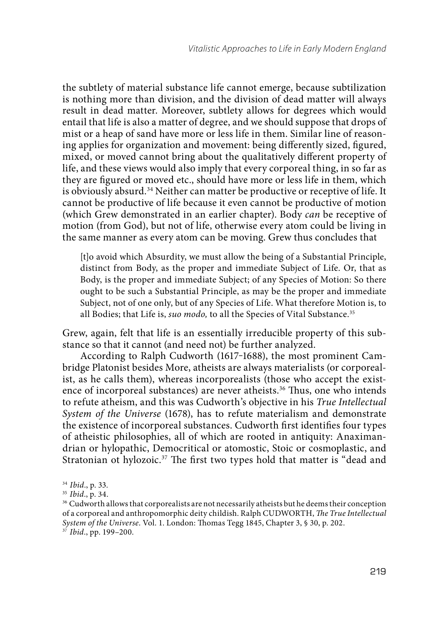the subtlety of material substance life cannot emerge, because subtilization is nothing more than division, and the division of dead matter will always result in dead matter. Moreover, subtlety allows for degrees which would entail that life is also a matter of degree, and we should suppose that drops of mist or a heap of sand have more or less life in them. Similar line of reasoning applies for organization and movement: being differently sized, figured, mixed, or moved cannot bring about the qualitatively different property of life, and these views would also imply that every corporeal thing, in so far as they are figured or moved etc., should have more or less life in them, which is obviously absurd.34 Neither can matter be productive or receptive of life. It cannot be productive of life because it even cannot be productive of motion (which Grew demonstrated in an earlier chapter). Body can be receptive of motion (from God), but not of life, otherwise every atom could be living in the same manner as every atom can be moving. Grew thus concludes that

[t]o avoid which Absurdity, we must allow the being of a Substantial Principle, distinct from Body, as the proper and immediate Subject of Life. Or, that as Body, is the proper and immediate Subject; of any Species of Motion: So there ought to be such a Substantial Principle, as may be the proper and immediate Subject, not of one only, but of any Species of Life. What therefore Motion is, to all Bodies; that Life is, *suo modo*, to all the Species of Vital Substance.<sup>35</sup>

Grew, again, felt that life is an essentially irreducible property of this substance so that it cannot (and need not) be further analyzed.

According to Ralph Cudworth (1617-1688), the most prominent Cambridge Platonist besides More, atheists are always materialists (or corporealist, as he calls them), whereas incorporealists (those who accept the existence of incorporeal substances) are never atheists.<sup>36</sup> Thus, one who intends to refute atheism, and this was Cudworth's objective in his True Intellectual System of the Universe (1678), has to refute materialism and demonstrate the existence of incorporeal substances. Cudworth first identifies four types of atheistic philosophies, all of which are rooted in antiquity: Anaximandrian or hylopathic, Democritical or atomostic, Stoic or cosmoplastic, and Stratonian ot hylozoic.<sup>37</sup> The first two types hold that matter is "dead and

<sup>&</sup>lt;sup>34</sup> Ibid., p. 33.

 $35$  Ibid., p. 34.

<sup>&</sup>lt;sup>36</sup> Cudworth allows that corporealists are not necessarily atheists but he deems their conception of a corporeal and anthropomorphic deity childish. Ralph CUDWORTH, The True Intellectual System of the Universe. Vol. 1. London: Thomas Tegg 1845, Chapter 3, § 30, p. 202.

 $37$  Ibid., pp. 199-200.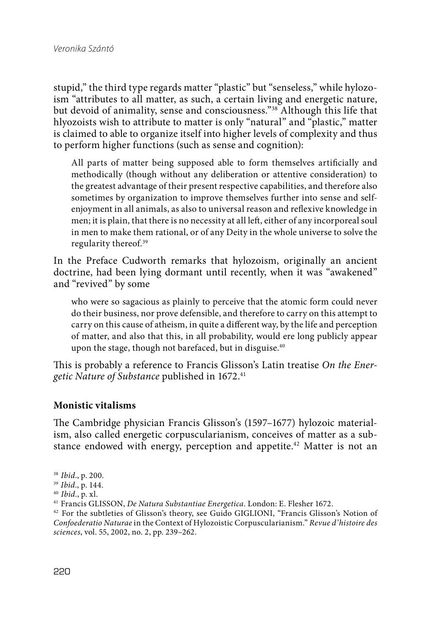stupid," the third type regards matter "plastic" but "senseless," while hylozoism "attributes to all matter, as such, a certain living and energetic nature, but devoid of animality, sense and consciousness."38 Although this life that hlyozoists wish to attribute to matter is only "natural" and "plastic," matter is claimed to able to organize itself into higher levels of complexity and thus to perform higher functions (such as sense and cognition):

All parts of matter being supposed able to form themselves artificially and methodically (though without any deliberation or attentive consideration) to the greatest advantage of their present respective capabilities, and therefore also sometimes by organization to improve themselves further into sense and selfenjoyment in all animals, as also to universal reason and reflexive knowledge in men; it is plain, that there is no necessity at all left, either of any incorporeal soul in men to make them rational, or of any Deity in the whole universe to solve the regularity thereof.39

In the Preface Cudworth remarks that hylozoism, originally an ancient doctrine, had been lying dormant until recently, when it was "awakened" and "revived" by some

who were so sagacious as plainly to perceive that the atomic form could never do their business, nor prove defensible, and therefore to carry on this attempt to carry on this cause of atheism, in quite a different way, by the life and perception of matter, and also that this, in all probability, would ere long publicly appear upon the stage, though not barefaced, but in disguise. 40

This is probably a reference to Francis Glisson's Latin treatise On the Energetic Nature of Substance published in 1672.<sup>41</sup>

### **Monistic vitalisms**

The Cambridge physician Francis Glisson's (1597–1677) hylozoic materialism, also called energetic corpuscularianism, conceives of matter as a substance endowed with energy, perception and appetite.<sup>42</sup> Matter is not an

<sup>38</sup> Ibid., p. 200.

 $39$  *Ibid.*, p. 144.<br> $40$  *Ibid.*, p. xl.

<sup>&</sup>lt;sup>41</sup> Francis GLISSON, De Natura Substantiae Energetica. London: E. Flesher 1672.

<sup>42</sup> For the subtleties of Glisson's theory, see Guido GIGLIONI, "Francis Glisson's Notion of Confoederatio Naturae in the Context of Hylozoistic Corpuscularianism." Revue d'histoire des sciences, vol. 55, 2002, no. 2, pp. 239–262.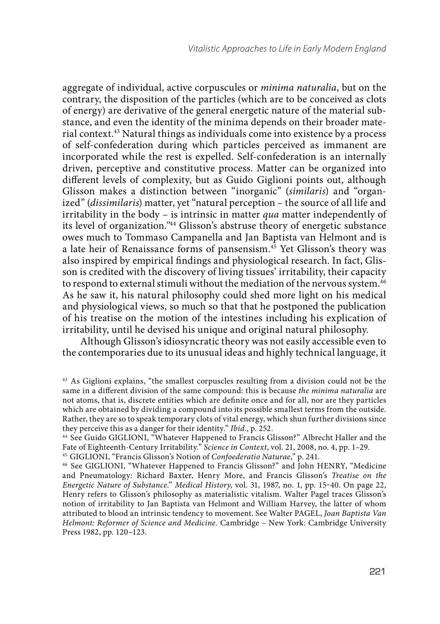aggregate of individual, active corpuscules or minima naturalia, but on the contrary, the disposition of the particles (which are to be conceived as clots of energy) are derivative of the general energetic nature of the material substance, and even the identity of the minima depends on their broader material context.43 Natural things as individuals come into existence by a process of self-confederation during which particles perceived as immanent are incorporated while the rest is expelled. Self-confederation is an internally driven, perceptive and constitutive process. Matter can be organized into different levels of complexity, but as Guido Giglioni points out, although Glisson makes a distinction between "inorganic" (similaris) and "organized" (dissimilaris) matter, yet "natural perception – the source of all life and irritability in the body – is intrinsic in matter qua matter independently of its level of organization."44 Glisson's abstruse theory of energetic substance owes much to Tommaso Campanella and Jan Baptista van Helmont and is a late heir of Renaissance forms of pansensism. 45 Yet Glisson's theory was also inspired by empirical findings and physiological research. In fact, Glisson is credited with the discovery of living tissues' irritability, their capacity to respond to external stimuli without the mediation of the nervous system. $^{46}$ As he saw it, his natural philosophy could shed more light on his medical and physiological views, so much so that that he postponed the publication of his treatise on the motion of the intestines including his explication of irritability, until he devised his unique and original natural philosophy.

Although Glisson's idiosyncratic theory was not easily accessible even to the contemporaries due to its unusual ideas and highly technical language, it

<sup>43</sup> As Giglioni explains, "the smallest corpuscles resulting from a division could not be the same in a different division of the same compound: this is because the minima naturalia are not atoms, that is, discrete entities which are definite once and for all, nor are they particles which are obtained by dividing a compound into its possible smallest terms from the outside. Rather, they are so to speak temporary clots of vital energy, which shun further divisions since they perceive this as a danger for their identity." Ibid., p. 252.

<sup>44</sup> See Guido GIGLIONI, "Whatever Happened to Francis Glisson?" Albrecht Haller and the Fate of Eighteenth-Century Irritability." Science in Context, vol. 21, 2008, no. 4, pp. 1–29.

<sup>&</sup>lt;sup>45</sup> GIGLIONI, "Francis Glisson's Notion of Confoederatio Naturae," p. 241.

<sup>46</sup> See GIGLIONI, "Whatever Happened to Francis Glisson?" and John HENRY, "Medicine and Pneumatology: Richard Baxter, Henry More, and Francis Glisson's Treatise on the Energetic Nature of Substance." Medical History, vol. 31, 1987, no. 1, pp. 15-40. On page 22, Henry refers to Glisson's philosophy as materialistic vitalism. Walter Pagel traces Glisson's notion of irritability to Jan Baptista van Helmont and William Harvey, the latter of whom attributed to blood an intrinsic tendency to movement. See Walter PAGEL, Joan Baptista Van Helmont: Reformer of Science and Medicine. Cambridge – New York: Cambridge University Press 1982, pp. 120–123.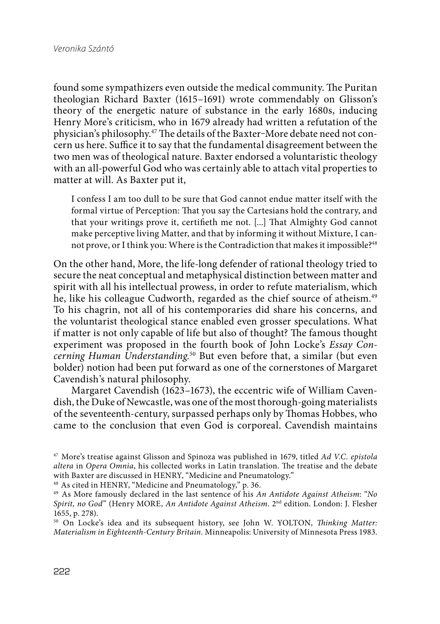found some sympathizers even outside the medical community. The Puritan theologian Richard Baxter (1615–1691) wrote commendably on Glisson's theory of the energetic nature of substance in the early 1680s, inducing Henry More's criticism, who in 1679 already had written a refutation of the physician's philosophy.<sup>47</sup> The details of the Baxter-More debate need not concern us here. Suffice it to say that the fundamental disagreement between the two men was of theological nature. Baxter endorsed a voluntaristic theology with an all-powerful God who was certainly able to attach vital properties to matter at will. As Baxter put it,

I confess I am too dull to be sure that God cannot endue matter itself with the formal virtue of Perception: That you say the Cartesians hold the contrary, and that your writings prove it, certifieth me not. [...] That Almighty God cannot make perceptive living Matter, and that by informing it without Mixture, I cannot prove, or I think you: Where is the Contradiction that makes it impossible?<sup>48</sup>

On the other hand, More, the life-long defender of rational theology tried to secure the neat conceptual and metaphysical distinction between matter and spirit with all his intellectual prowess, in order to refute materialism, which he, like his colleague Cudworth, regarded as the chief source of atheism.<sup>49</sup> To his chagrin, not all of his contemporaries did share his concerns, and the voluntarist theological stance enabled even grosser speculations. What if matter is not only capable of life but also of thought? The famous thought experiment was proposed in the fourth book of John Locke's Essay Concerning Human Understanding.<sup>50</sup> But even before that, a similar (but even bolder) notion had been put forward as one of the cornerstones of Margaret Cavendish's natural philosophy.

Margaret Cavendish (1623–1673), the eccentric wife of William Cavendish, the Duke of Newcastle, was one of the most thorough-going materialists of the seventeenth-century, surpassed perhaps only by Thomas Hobbes, who came to the conclusion that even God is corporeal. Cavendish maintains

<sup>47</sup> More's treatise against Glisson and Spinoza was published in 1679, titled Ad V.C. epistola altera in Opera Omnia, his collected works in Latin translation. The treatise and the debate with Baxter are discussed in HENRY, "Medicine and Pneumatology."

48 As cited in HENRY, "Medicine and Pneumatology," p. 36.

 $50$  On Locke's idea and its subsequent history, see John W. YOLTON, Thinking Matter: Materialism in Eighteenth-Century Britain. Minneapolis: University of Minnesota Press 1983.

<sup>&</sup>lt;sup>49</sup> As More famously declared in the last sentence of his An Antidote Against Atheism: "No Spirit, no God" (Henry MORE, An Antidote Against Atheism. 2nd edition. London: J. Flesher 1655, p. 278).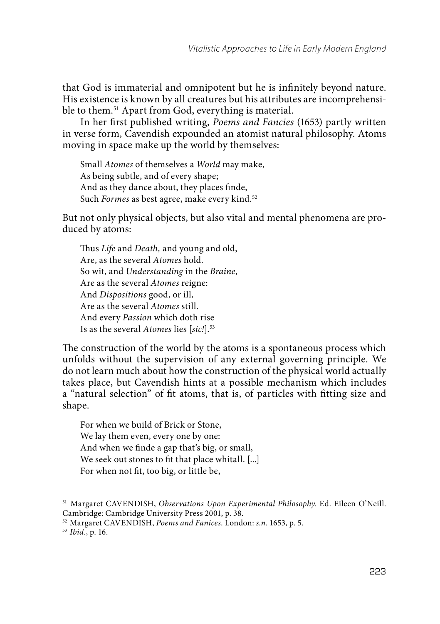that God is immaterial and omnipotent but he is infinitely beyond nature. His existence is known by all creatures but his attributes are incomprehensible to them.51 Apart from God, everything is material.

In her first published writing, Poems and Fancies (1653) partly written in verse form, Cavendish expounded an atomist natural philosophy. Atoms moving in space make up the world by themselves:

Small Atomes of themselves a World may make, As being subtle, and of every shape; And as they dance about, they places finde, Such Formes as best agree, make every kind.<sup>52</sup>

But not only physical objects, but also vital and mental phenomena are produced by atoms:

Thus Life and Death, and young and old, Are, as the several Atomes hold. So wit, and Understanding in the Braine, Are as the several Atomes reigne: And Dispositions good, or ill, Are as the several Atomes still. And every Passion which doth rise Is as the several Atomes lies [sic!].<sup>53</sup>

The construction of the world by the atoms is a spontaneous process which unfolds without the supervision of any external governing principle. We do not learn much about how the construction of the physical world actually takes place, but Cavendish hints at a possible mechanism which includes a "natural selection" of fit atoms, that is, of particles with fitting size and shape.

For when we build of Brick or Stone, We lay them even, every one by one: And when we finde a gap that's big, or small, We seek out stones to fit that place whitall. [...] For when not fit, too big, or little be,

<sup>&</sup>lt;sup>51</sup> Margaret CAVENDISH, Observations Upon Experimental Philosophy. Ed. Eileen O'Neill. Cambridge: Cambridge University Press 2001, p. 38.

<sup>52</sup> Margaret CAVENDISH, Poems and Fanices. London: s.n. 1653, p. 5.

<sup>53</sup> Ibid., p. 16.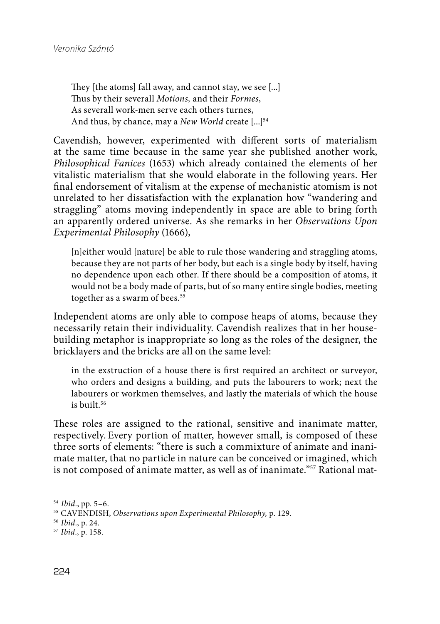They [the atoms] fall away, and cannot stay, we see [...] Thus by their severall Motions, and their Formes, As severall work-men serve each others turnes, And thus, by chance, may a New World create  $[...]^{54}$ 

Cavendish, however, experimented with different sorts of materialism at the same time because in the same year she published another work, Philosophical Fanices (1653) which already contained the elements of her vitalistic materialism that she would elaborate in the following years. Her final endorsement of vitalism at the expense of mechanistic atomism is not unrelated to her dissatisfaction with the explanation how "wandering and straggling" atoms moving independently in space are able to bring forth an apparently ordered universe. As she remarks in her Observations Upon Experimental Philosophy (1666),

[n]either would [nature] be able to rule those wandering and straggling atoms, because they are not parts of her body, but each is a single body by itself, having no dependence upon each other. If there should be a composition of atoms, it would not be a body made of parts, but of so many entire single bodies, meeting together as a swarm of bees.<sup>55</sup>

Independent atoms are only able to compose heaps of atoms, because they necessarily retain their individuality. Cavendish realizes that in her housebuilding metaphor is inappropriate so long as the roles of the designer, the bricklayers and the bricks are all on the same level:

in the exstruction of a house there is first required an architect or surveyor, who orders and designs a building, and puts the labourers to work; next the labourers or workmen themselves, and lastly the materials of which the house is built <sup>56</sup>

These roles are assigned to the rational, sensitive and inanimate matter, respectively. Every portion of matter, however small, is composed of these three sorts of elements: "there is such a commixture of animate and inanimate matter, that no particle in nature can be conceived or imagined, which is not composed of animate matter, as well as of inanimate."<sup>57</sup> Rational mat-

<sup>54</sup> Ibid., pp. 5–6.

<sup>55</sup> CAVENDISH, Observations upon Experimental Philosophy, p. 129.

<sup>56</sup> Ibid., p. 24.

<sup>57</sup> Ibid., p. 158.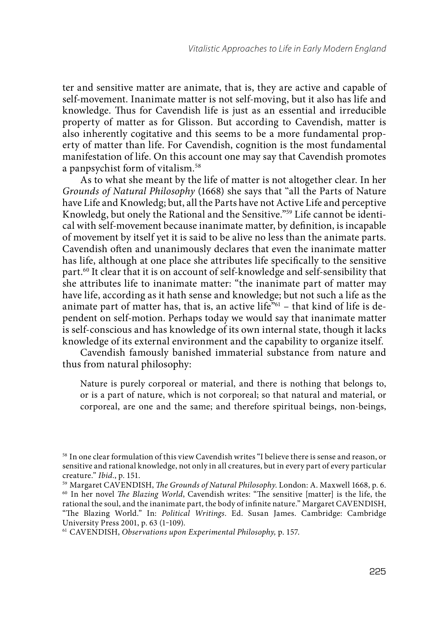ter and sensitive matter are animate, that is, they are active and capable of self-movement. Inanimate matter is not self-moving, but it also has life and knowledge. Thus for Cavendish life is just as an essential and irreducible property of matter as for Glisson. But according to Cavendish, matter is also inherently cogitative and this seems to be a more fundamental property of matter than life. For Cavendish, cognition is the most fundamental manifestation of life. On this account one may say that Cavendish promotes a panpsychist form of vitalism.58

As to what she meant by the life of matter is not altogether clear. In her Grounds of Natural Philosophy (1668) she says that "all the Parts of Nature have Life and Knowledg; but, all the Parts have not Active Life and perceptive Knowledg, but onely the Rational and the Sensitive."59 Life cannot be identical with self-movement because inanimate matter, by definition, is incapable of movement by itself yet it is said to be alive no less than the animate parts. Cavendish often and unanimously declares that even the inanimate matter has life, although at one place she attributes life specifically to the sensitive part. 60 It clear that it is on account of self-knowledge and self-sensibility that she attributes life to inanimate matter: "the inanimate part of matter may have life, according as it hath sense and knowledge; but not such a life as the animate part of matter has, that is, an active life"<sup>61</sup> – that kind of life is dependent on self-motion. Perhaps today we would say that inanimate matter is self-conscious and has knowledge of its own internal state, though it lacks knowledge of its external environment and the capability to organize itself.

Cavendish famously banished immaterial substance from nature and thus from natural philosophy:

Nature is purely corporeal or material, and there is nothing that belongs to, or is a part of nature, which is not corporeal; so that natural and material, or corporeal, are one and the same; and therefore spiritual beings, non-beings,

<sup>58</sup> In one clear formulation of this view Cavendish writes "I believe there is sense and reason, or sensitive and rational knowledge, not only in all creatures, but in every part of every particular creature." Ibid., p. 151.

<sup>&</sup>lt;sup>59</sup> Margaret CAVENDISH, *The Grounds of Natural Philosophy*. London: A. Maxwell 1668, p. 6. <sup>60</sup> In her novel *The Blazing World*, Cavendish writes: "The sensitive [matter] is the life, the rational the soul, and the inanimate part, the body of infinite nature." Margaret CAVENDISH, "The Blazing World." In: Political Writings. Ed. Susan James. Cambridge: Cambridge University Press 2001, p. 63 (1-109).

<sup>61</sup> CAVENDISH, Observations upon Experimental Philosophy, p. 157.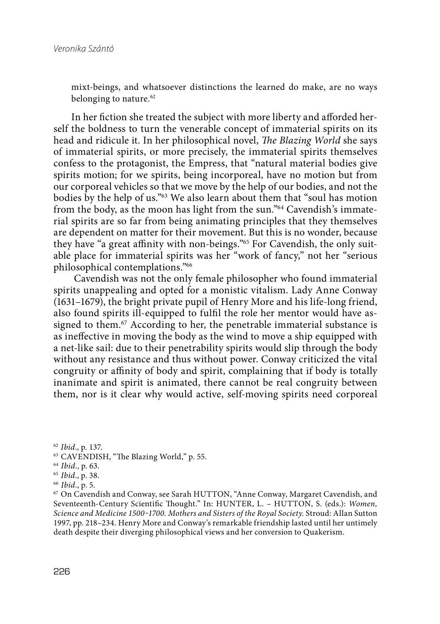mixt-beings, and whatsoever distinctions the learned do make, are no ways belonging to nature. 62

In her fiction she treated the subject with more liberty and afforded herself the boldness to turn the venerable concept of immaterial spirits on its head and ridicule it. In her philosophical novel, *The Blazing World* she says of immaterial spirits, or more precisely, the immaterial spirits themselves confess to the protagonist, the Empress, that "natural material bodies give spirits motion; for we spirits, being incorporeal, have no motion but from our corporeal vehicles so that we move by the help of our bodies, and not the bodies by the help of us."63 We also learn about them that "soul has motion from the body, as the moon has light from the sun."64 Cavendish's immaterial spirits are so far from being animating principles that they themselves are dependent on matter for their movement. But this is no wonder, because they have "a great affinity with non-beings."<sup>65</sup> For Cavendish, the only suitable place for immaterial spirits was her "work of fancy," not her "serious philosophical contemplations."66

 Cavendish was not the only female philosopher who found immaterial spirits unappealing and opted for a monistic vitalism. Lady Anne Conway (1631–1679), the bright private pupil of Henry More and his life-long friend, also found spirits ill-equipped to fulfil the role her mentor would have assigned to them.67 According to her, the penetrable immaterial substance is as ineffective in moving the body as the wind to move a ship equipped with a net-like sail: due to their penetrability spirits would slip through the body without any resistance and thus without power. Conway criticized the vital congruity or affinity of body and spirit, complaining that if body is totally inanimate and spirit is animated, there cannot be real congruity between them, nor is it clear why would active, self-moving spirits need corporeal

<sup>62</sup> Ibid., p. 137.

- <sup>63</sup> CAVENDISH, "The Blazing World," p. 55.
- <sup>64</sup> Ibid., p. 63.
- <sup>65</sup>Ibid., p. 38.
- <sup>66</sup> Ibid., p. 5.

67 On Cavendish and Conway, see Sarah HUTTON, "Anne Conway, Margaret Cavendish, and Seventeenth-Century Scientific Thought." In: HUNTER, L. - HUTTON, S. (eds.): Women, Science and Medicine 1500-1700. Mothers and Sisters of the Royal Society. Stroud: Allan Sutton 1997, pp. 218–234. Henry More and Conway's remarkable friendship lasted until her untimely death despite their diverging philosophical views and her conversion to Quakerism.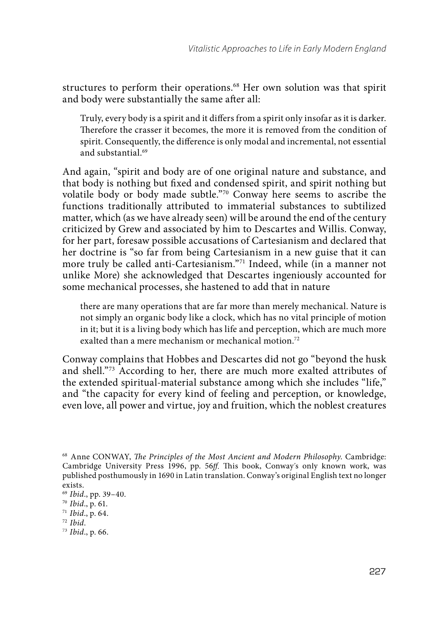structures to perform their operations.<sup>68</sup> Her own solution was that spirit and body were substantially the same after all:

Truly, every body is a spirit and it differs from a spirit only insofar as it is darker. Therefore the crasser it becomes, the more it is removed from the condition of spirit. Consequently, the difference is only modal and incremental, not essential and substantial. 69

And again, "spirit and body are of one original nature and substance, and that body is nothing but fixed and condensed spirit, and spirit nothing but volatile body or body made subtle."70 Conway here seems to ascribe the functions traditionally attributed to immaterial substances to subtilized matter, which (as we have already seen) will be around the end of the century criticized by Grew and associated by him to Descartes and Willis. Conway, for her part, foresaw possible accusations of Cartesianism and declared that her doctrine is "so far from being Cartesianism in a new guise that it can more truly be called anti-Cartesianism."71 Indeed, while (in a manner not unlike More) she acknowledged that Descartes ingeniously accounted for some mechanical processes, she hastened to add that in nature

there are many operations that are far more than merely mechanical. Nature is not simply an organic body like a clock, which has no vital principle of motion in it; but it is a living body which has life and perception, which are much more exalted than a mere mechanism or mechanical motion.<sup>72</sup>

Conway complains that Hobbes and Descartes did not go "beyond the husk and shell."73 According to her, there are much more exalted attributes of the extended spiritual-material substance among which she includes "life," and "the capacity for every kind of feeling and perception, or knowledge, even love, all power and virtue, joy and fruition, which the noblest creatures

<sup>&</sup>lt;sup>68</sup> Anne CONWAY, *The Principles of the Most Ancient and Modern Philosophy*. Cambridge: Cambridge University Press 1996, pp. 56ff. This book, Conway's only known work, was published posthumously in 1690 in Latin translation. Conway's original English text no longer exists.

<sup>69</sup>Ibid., pp. 39–40.

<sup>70</sup> Ibid., p. 61.

<sup>71</sup> Ibid., p. 64.

 $72$  Ibid.

<sup>73</sup> Ibid., p. 66.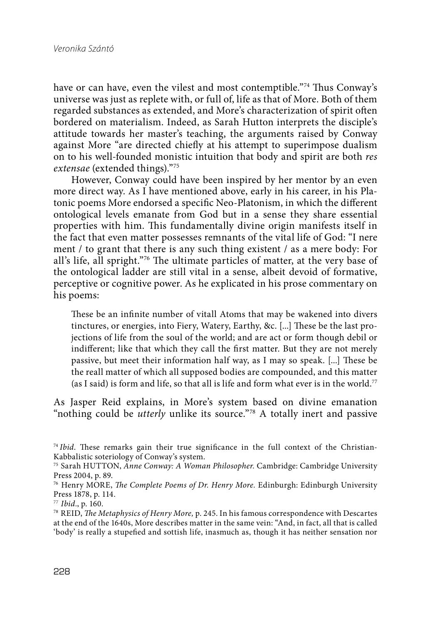have or can have, even the vilest and most contemptible."<sup>74</sup> Thus Conway's universe was just as replete with, or full of, life as that of More. Both of them regarded substances as extended, and More's characterization of spirit often bordered on materialism. Indeed, as Sarah Hutton interprets the disciple's attitude towards her master's teaching, the arguments raised by Conway against More "are directed chiefly at his attempt to superimpose dualism on to his well-founded monistic intuition that body and spirit are both res extensae (extended things)."75

However, Conway could have been inspired by her mentor by an even more direct way. As I have mentioned above, early in his career, in his Platonic poems More endorsed a specific Neo-Platonism, in which the different ontological levels emanate from God but in a sense they share essential properties with him. This fundamentally divine origin manifests itself in the fact that even matter possesses remnants of the vital life of God: "I nere ment / to grant that there is any such thing existent / as a mere body: For all's life, all spright."<sup>76</sup> The ultimate particles of matter, at the very base of the ontological ladder are still vital in a sense, albeit devoid of formative, perceptive or cognitive power. As he explicated in his prose commentary on his poems:

These be an infinite number of vitall Atoms that may be wakened into divers tinctures, or energies, into Fiery, Watery, Earthy, &c. [...] These be the last projections of life from the soul of the world; and are act or form though debil or indifferent; like that which they call the first matter. But they are not merely passive, but meet their information half way, as I may so speak. [...] These be the reall matter of which all supposed bodies are compounded, and this matter (as I said) is form and life, so that all is life and form what ever is in the world.<sup>77</sup>

As Jasper Reid explains, in More's system based on divine emanation "nothing could be *utterly* unlike its source."<sup>78</sup> A totally inert and passive

 $74$  Ibid. These remarks gain their true significance in the full context of the Christian-Kabbalistic soteriology of Conway's system.

<sup>75</sup> Sarah HUTTON, Anne Conway: A Woman Philosopher. Cambridge: Cambridge University Press 2004, p. 89.

 $76$  Henry MORE, The Complete Poems of Dr. Henry More. Edinburgh: Edinburgh University Press 1878, p. 114.

<sup>77</sup> Ibid., p. 160.

<sup>&</sup>lt;sup>78</sup> REID, *The Metaphysics of Henry More*, p. 245. In his famous correspondence with Descartes at the end of the 1640s, More describes matter in the same vein: "And, in fact, all that is called 'body' is really a stupefied and sottish life, inasmuch as, though it has neither sensation nor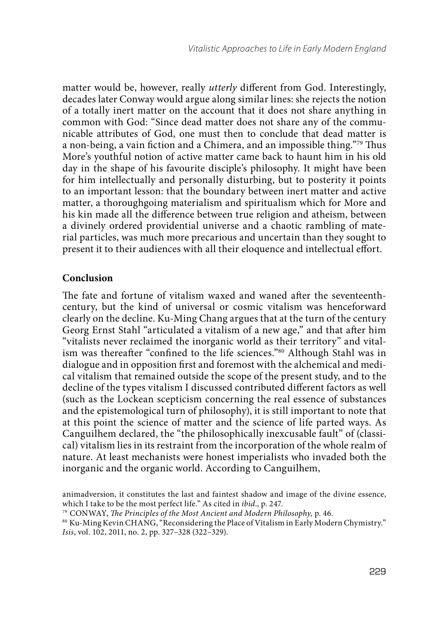matter would be, however, really *utterly* different from God. Interestingly, decades later Conway would argue along similar lines: she rejects the notion of a totally inert matter on the account that it does not share anything in common with God: "Since dead matter does not share any of the communicable attributes of God, one must then to conclude that dead matter is a non-being, a vain fiction and a Chimera, and an impossible thing."<sup>79</sup> Thus More's youthful notion of active matter came back to haunt him in his old day in the shape of his favourite disciple's philosophy. It might have been for him intellectually and personally disturbing, but to posterity it points to an important lesson: that the boundary between inert matter and active matter, a thoroughgoing materialism and spiritualism which for More and his kin made all the difference between true religion and atheism, between a divinely ordered providential universe and a chaotic rambling of material particles, was much more precarious and uncertain than they sought to present it to their audiences with all their eloquence and intellectual effort.

### **Conclusion**

The fate and fortune of vitalism waxed and waned after the seventeenthcentury, but the kind of universal or cosmic vitalism was henceforward clearly on the decline. Ku-Ming Chang argues that at the turn of the century Georg Ernst Stahl "articulated a vitalism of a new age," and that after him "vitalists never reclaimed the inorganic world as their territory" and vitalism was thereafter "confined to the life sciences."<sup>80</sup> Although Stahl was in dialogue and in opposition first and foremost with the alchemical and medical vitalism that remained outside the scope of the present study, and to the decline of the types vitalism I discussed contributed different factors as well (such as the Lockean scepticism concerning the real essence of substances and the epistemological turn of philosophy), it is still important to note that at this point the science of matter and the science of life parted ways. As Canguilhem declared, the "the philosophically inexcusable fault" of (classical) vitalism lies in its restraint from the incorporation of the whole realm of nature. At least mechanists were honest imperialists who invaded both the inorganic and the organic world. According to Canguilhem,

animadversion, it constitutes the last and faintest shadow and image of the divine essence, which I take to be the most perfect life." As cited in ibid., p. 247.

<sup>&</sup>lt;sup>79</sup> CONWAY, The Principles of the Most Ancient and Modern Philosophy, p. 46.

<sup>80</sup> Ku-Ming Kevin CHANG, "Reconsidering the Place of Vitalism in Early Modern Chymistry." Isis, vol. 102, 2011, no. 2, pp. 327–328 (322–329).